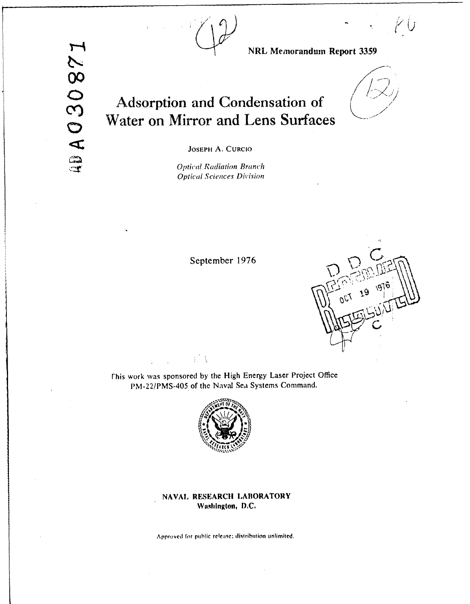

NRL Memorandum Report 3359

JOSEPH A. CURCIO

Adsorption and Condensation of

Water on Mirror and Lens Surfaces

**Optical Radiation Branch Optical Sciences Division** 

September 1976



This work was sponsored by the High Energy Laser Project Office PM-22/PMS-405 of the Naval Sea Systems Command.

 $\frac{1}{4}$  ,  $\frac{1}{4}$ 



## NAVAL RESEARCH LABORATORY Washington, D.C.

Approved for public release; distribution unlimited.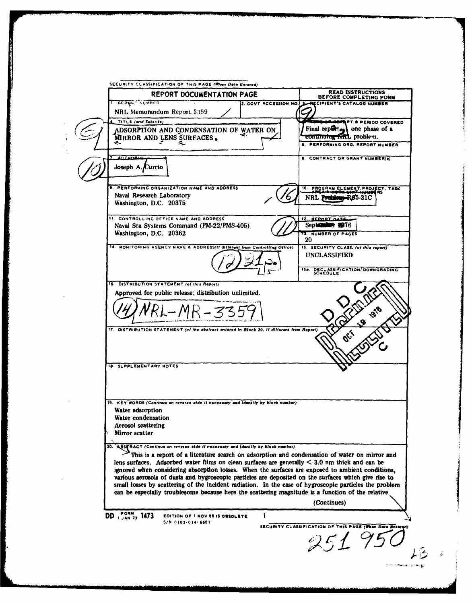SECURITY CLASSIFICATION OF THIS PAGE (When Date Entered) READ INSTRUCTIONS<br>BEFORE COMPLETING FORM REPORT DOCUMENTATION PAGE **REPORT NUVBER** ECIPIENT'S CATALOG NUMBER 2. GOVT ACCESSION NO. 1 NRL Memorandum Report 3359 TITLE (and Subtitle) **AT & PERIOD COVERED** Final report<sub>es</sub> one phase of a ADSORPTION AND CONDENSATION OF WATER ON continuing find, problem. MIRROR AND LENS SURFACES. PERFORMING ORG. REPORT NUMBER **8. CONTRACT OR GRANT NUMBER(8)** Joseph A. Curcio PERFORMING ORGANIZATION NAME AND ADDRESS PROGRAM ELEMENT, PROJECT, TASK Naval Research Laboratory NRL PR **-RØ5-31C** Washington, D.C. 20375 IL CONTROLLING OFFICE NAME AND ADDRESS REPORT DATE Naval Sea Systems Command (PM-22/PMS-405) Septer **N 1976** Washington, D.C. 20362 NUMBER OF PAGES 20 14. MONITORING AGENCY NAME & ADDRESS(If different from Controlling Office) 15. SECURITY CLASS. (of this report) UNCLASSIFIED 15a. DECLASSIFICATION/DOWNGRADING<br>SCHEDULE **16. DISTRIBUTION STATEMENT (of this Report)** Approved for public release; distribution unlimited. MR-3359 17. DISTRIBUTION STATEMENT (of the abstract entered in Block 20, if different from Report, **18. SUPPLEMENTARY NOTES** 19. KEY WORDS (Continue on reverse aide if necessary and identify by block number) Water adsorption Water condensation **Aerosol** scattering Mirror scatter ABSTRACT (Continue on reverse eide if necessary and identify by block number)<br>This is a report of a literature search on adsorption and condensation of water on mirror and 20. lens surfaces. Adsorbed water films on clean surfaces are generally  $\leq$  3.0 nm thick and can be ignored when considering absorption losses. When the surfaces are exposed to ambient conditions, various aerosols of dusts and hygroscopic particles are deposited on the surfaces which give rise to small losses by scattering of the incident radiation. In the case of hygroscopic particles the problem can be especially troublesome because here the scattering magnitude is a function of the relative (Continues) DD , FORM 73 1473  $\mathbf{i}$ EDITION OF 1 NOV 65 IS OBSOLETE  $S/N$  0102-014-6601 SECURITY CLASSIFICATION OF THIS PAGE (I 251950

心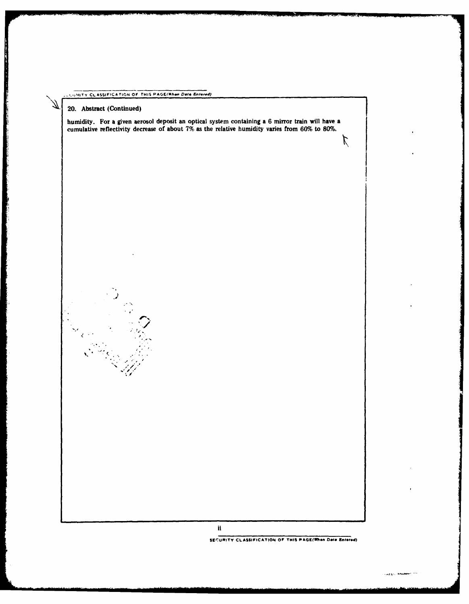### LUMITY CLASSIFICATION OF THIS PAGE(When Data Entered)

20. Abstract (Continued)

 $\begin{smallmatrix} &\ddots\\ &\ddots\end{smallmatrix}$ 

 $\frac{2\sqrt{3}}{4}$ 

فسأستعصب والمستند

**Final Property** 

humidity. For a given aerosol deposit an optical system containing a 6 mirror train will have a cumulative reflectivity decrease of about 7% as the relative humidity varies from 60% to 80%.

ii

SECURITY CLASSIFICATION OF THIS PAGE(When Data Entered)

.<br>Haago minimer oo

 $\bm{\mathcal{L}}$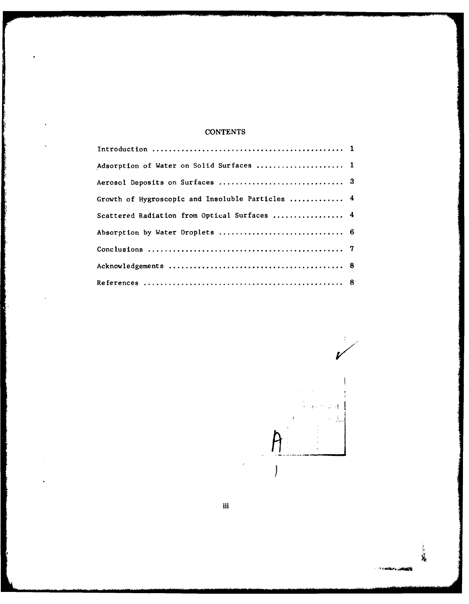# **CONTENTS**

| Adsorption of Water on Solid Surfaces  1         |  |
|--------------------------------------------------|--|
|                                                  |  |
| Growth of Hygroscopic and Insoluble Particles  4 |  |
| Scattered Radiation from Optical Surfaces  4     |  |
| Absorption by Water Droplets  6                  |  |
|                                                  |  |
|                                                  |  |
|                                                  |  |

Į 

35  $\overline{\mathbf{S}}$ 

计境

نه افغانستان بر ایروندها به ب

iii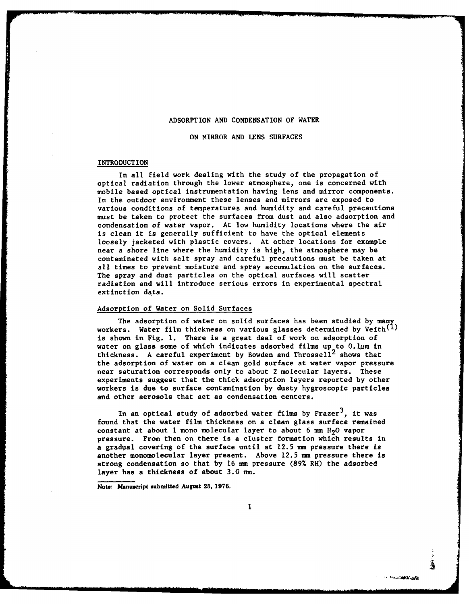#### ADSORPTION **AND CONDENSATION** OF WATER

**ON** MIRROR **AND LENS SURFACES**

#### **INTRODUCTION**

In all field work dealing with the study of the propagation of optical radiation through the lower atmosphere, one is concerned with mobile based optical instrumentation having lens and mirror components. In the outdoor environment these lenses and mirrors are exposed to various conditions of temperatures and humidity and careful precautions must be taken to protect the surfaces from dust and also adsorption and condensation of water vapor. At low humidity locations where the air is clean it is generally sufficient to have the optical elements loosely jacketed with plastic covers. At other locations for example near a shore line where the humidity is high, the atmosphere may be contaminated with salt spray and careful precautions must be taken at all times to prevent moisture and spray accumulation on the surfaces. The spray and dust particles on the optical surfaces will scatter radiation and will introduce serious errors in experimental spectral extinction data.

#### Adsorption of Water on Solid Surfaces

The adsorption of water on solid surfaces has been studied by many workers. Water film thickness on various glasses determined by Veith $^{(1)}$ is shown in Fig. I. There is a great deal of work on adsorption of water on glass some of which indicates adsorbed films up **to** O.lgm in thickness. A careful experiment by Bowden and Throssell<sup>2</sup> shows that the adsorption of water on a clean gold surface at water vapor pressure near saturation corresponds only to about 2 molecular layers. These experiments suggest that the thick adsorption layers reported **by** other workers is due to surface contamination by dusty hygroscopic particles and other aerosols that act as condensation centers.

In an optical study of adsorbed water films by Frazer<sup>3</sup>, it was found that the water film thickness on a clean glass surface remained constant at about 1 mono molecular layer to about 6 mm  $H<sub>2</sub>O$  vapor pressure. From then on there is a cluster formation which results in a gradual covering of the surface until at **12.5 mm** pressure there is another monomolecular layer present. Above **12.5** mm pressure there is strong condensation so that by 16 **nu** pressure **(89%** RH) the adsorbed layer has a thickness of about **3.0** nm.

**Note: Manuscript submitted August 25, 1976.**

 $\mathbf{1}$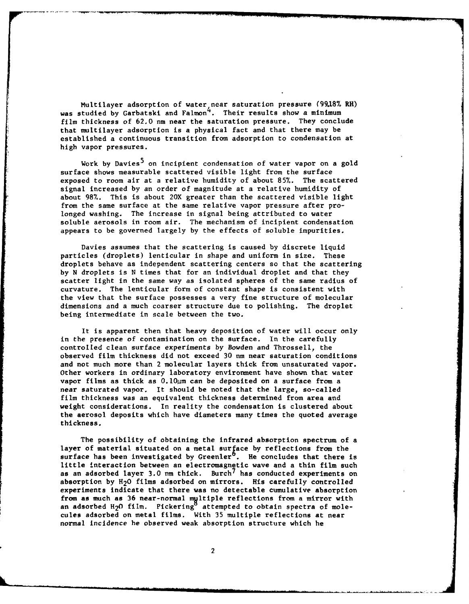Multilayer adsorption of water near saturation **pressure (99.18% RH)** was studied by Garbatski and Falmon<sup>4</sup>. Their results show a minimum film thickness of 62.0 nm near the saturation pressure. They conclude that multilayer adsorption is a physical fact and that there may be established a continuous transition from adsorption to condensation at high vapor pressures.

Work by Davies<sup>5</sup> on incipient condensation of water vapor on a gold surface shows measurable scattered visible light from the surface exposed to room air at a relative humidity of about 85%. The scattered signal increased by an order of magnitude at a relative humidity of about 98%. This is about 20X greater than the scattered visible light from the same surface at the same relative vapor pressure after prolonged washing. The increase in signal being attributed to water soluble aerosols in room air. The mechanism of incipient condensation appears to be governed largely by the effects of soluble impurities.

Davies assumes that the scattering is caused by discrete liquid particles (droplets) lenticular in shape and uniform in size. These droplets behave as independent scattering centers so that the scattering by **N** droplets is N times that for an individual droplet and that they scatter light in the same way as isolated spheres of the same radius of curvature. The lenticular form of constant shape is consistent with the view that the surface possesses a very fine structure of molecular dimensions and a much coarser structure due to polishing. The droplet being intermediate in scale between the two.

It is apparent then that heavy deposition of water will occur only in the presence of contamination on the surface. In the carefully controlled clean surface experiments by Bowden and Throssell, the observed film thickness did not exceed 30 nm near saturation conditions and not much more than 2 molecular layers thick from unsaturated vapor. Other workers in ordinary laboratory environment have shown that water vapor films as thick as  $0.10 \mu m$  can be deposited on a surface from a near saturated vapor. It should be noted that the large, so-called film thickness was an equivalent thickness determined from area and weight considerations. In reality the condensation is clustered about the aerosol deposits which have diameters many times the quoted average thickness.

The possibility of obtaining the infrared absorption spectrum of a layer of material situated on a metal surface by reflections from the surface has been investigated by Greenler<sup>6</sup>. He concludes that there is little interaction between an electromagnetic wave and a thin film such as an adsorbed layer 3.0 nm thick. Burch<sup>7</sup> has conducted experiments on absorption by H<sub>2</sub>O films adsorbed on mirrors. His carefully controlled experiments indicate that there was no detectable cumulative absorption from as much as 36 near-normal mgltiple reflections from a mirror with an adsorbed H<sub>2</sub>O film. Pickering $^{\circ}$  attempted to obtain spectra of molecules adsorbed on metal films. With 35 multiple reflections at near normal incidence he observed weak absorption structure which he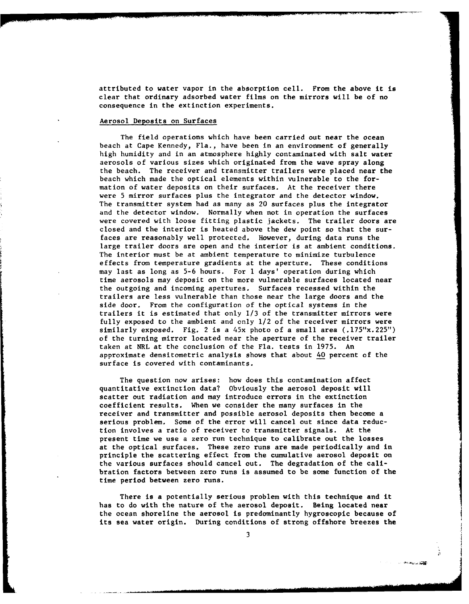attributed to water vapor in the absorption cell. From the above it is clear that ordinary adsorbed water films on the mirrors will be of no consequence in the extinction experiments.

#### Aerosol Deposits on Surfaces

The field operations which have been carried out near the ocean beach at Cape Kennedy, Fla., have been in an environment of generally high humidity and in an atmosphere highly contaminated with salt water aerosols of various sizes which originated from the wave spray along the beach. The receiver and transmitter trailers were placed near the beach which made the optical elements within vulnerable to the formation of water deposits on their surfaces. At the receiver there were 5 mirror surfaces plus the integrator and the detector window. The transmitter system had as many as 20 surfaces plus the integrator and the detector window. Normally when not in operation the surfaces were covered with loose fitting plastic jackets. The trailer doors are closed and the interior is heated above the dew point so that the surfaces are reasonably well protected. However, during data runs the large trailer doors are open and the interior is at ambient conditions. The interior must be at ambient temperature to minimize turbulence effects from temperature gradients at the aperture. These conditions may last as long as 5-6 hours. For **1** days' operation during which time aerosols may deposit on the more vulnerable surfaces located near the outgoing and incoming apertures. Surfaces recessed within the trailers are less vulnerable than those near the large doors and the side door. From the configuration of the optical systems in the trailers it is estimated that only **1/3** of the transmitter mirrors were fully exposed to the ambient and only 1/2 of the receiver mirrors were similarly exposed. Fig. 2 is a 45x photo of a small area (.175"x.225") of the turning mirror located near the aperture of the receiver trailer taken at NRL at the conclusion of the Fla. tests in 1975. An approximate densitometric analysis shows that about 40 percent of the surface is covered with contaminants.

The question now arises: how does this contamination affect quantitative extinction data? Obviously the aerosol deposit will scatter out radiation and may introduce errors in the extinction coefficient results. When we consider the many surfaces in the receiver and transmitter and possible aerosol deposits then become a serious problem. Some of the error will cancel out since data reduction involves a ratio of receiver to transmitter signals. At the present time we use a zero run technique to calibrate out the losses at the optical surfaces. These zero runs are made periodically and in principle the scattering effect from the cumulative aerosol deposit on the various surfaces should cancel out. The degradation of the calibration factors between zero runs is assumed to be some function of the time period between zero runs.

There is a potentially serious problem with this technique and it has to do with the nature of the aerosol deposit. Being located near the ocean shoreline the aerosol is predominantly hygroscopic because of its sea water origin. During conditions of strong offshore breezes the

**DO ALCOHOL**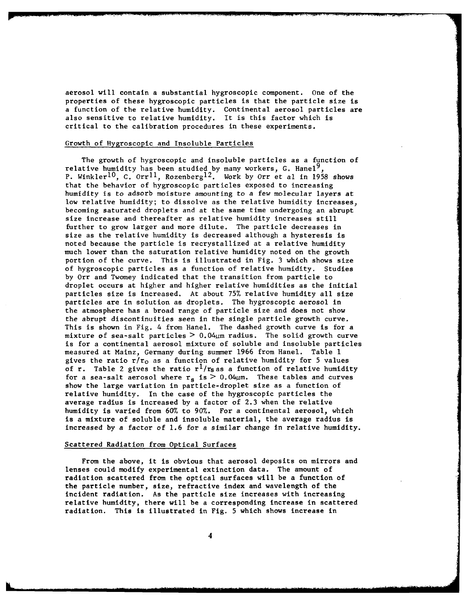aerosol will contain a substantial hygroscopic component. One of the properties of these hygroscopic particles is that the particle size is a function of the relative humidity. Continental aerosol particles are also sensitive to relative humidity. It is this factor which is critical to the calibration procedures in these experiments.

#### Growth of Hygroscopic and Insoluble Particles

The growth of hygroscopic and insoluble particles as a function of relative humidity has been studied by many workers, G. Hanel<sup>9</sup> P. Winkler<sup>10</sup>, C. Orr<sup>11</sup>, Rozenberg<sup>12</sup>. Work by Orr et al in 1958 shows that the behavior of hygroscopic particles exposed to increasing humidity is to adsorb moisture amounting to a few molecular layers at low relative humidity; to dissolve as the relative humidity increases, becoming saturated droplets and at the same time undergoing an abrupt size increase and thereafter as relative humidity increases still further to grow larger and more dilute. The particle decreases in size as the relative humidity is decreased although a hysteresis is noted because the particle is recrystallized at a relative humidity much lower than the saturation relative humidity noted on the growth portion of the curve. This is illustrated in Fig. 3 which shows size of hygroscopic particles as a function of relative humidity. Studies by Orr and Twomey indicated that the transition from particle to droplet occurs at higher and higher relative humidities as the initial particles size is increased. At about 75% relative humidity all size particles are in solution as droplets. The hygroscopic aerosol in the atmosphere has a broad range of particle size and does not show the abrupt discontinuities seen in the single particle growth curve. This is shown in Fig. 4 from Hanel. The dashed growth curve is for a mixture of sea-salt particles  $> 0.04 \mu m$  radius. The solid growth curve is for a continental aerosol mixture of soluble and insoluble particles measured at Mainz, Germany during summer 1966 from Hanel. Table **1** gives the ratio  $r/r_0$  as a function of relative humidity for 5 values of r. Table 2 gives the ratio  $r^l/r_s$  as a function of relative humidity for a sea-salt aerosol where  $r_s$  is  $> 0.04 \mu$ m. These tables and curves show the large variation in particle-droplet size as a function of relative humidity. In the case of the hygroscopic particles the average radius is increased by a factor of 2.3 when the relative humidity is varied from 60% to 90%. For a continental aerosol, which is a mixture of soluble and insoluble material, the average radius is increased by a factor of 1.6 for a similar change in relative humidity.

#### Scattered Radiation from Optical Surfaces

From the above, it is obvious that aerosol deposits on mirrors and lenses could modify experimental extinction data. The amount of radiation scattered from the optical surfaces will be a function of the particle number, size, refractive index and wavelength of the incident radiation. As the particle size increases with increasing relative humidity, there will be a corresponding increase in scattered radiation. This is illustrated in Fig. **5** which shows increase in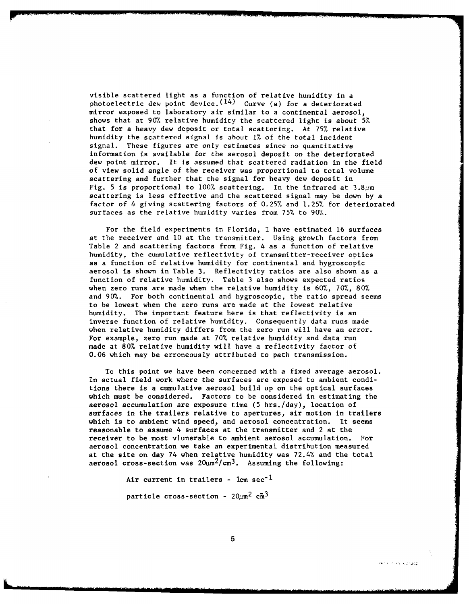visible scattered light as a function of relative humidity in a photoelectric dew point device. $(^{14})$  -Curve (a) for a deteriorated mirror exposed to laboratory air similar to a continental aerosol, shows that at 90% relative humidity the scattered light is about 5% that for a heavy dew deposit or total scattering. At 75% relative humidity the scattered signal is about 1% of the total incident signal. These figures are only estimates since no quantitative information is available for the aerosol deposit on the deteriorated dew point mirror. It is assumed that scattered radiation in the field of view solid angle of the receiver was proportional to total volume scattering and further that the signal for heavy dew deposit in Fig. 5 is proportional to 100% scattering. In the infrared at  $3.8\mu$ m scattering is less effective and the scattered signal may be down by a factor of 4 giving scattering factors of 0.25% and 1.25% for deteriorated surfaces as the relative humidity varies from 75% to 90%.

For the field experiments in Florida, I have estimated 16 surfaces at the receiver and **10** at the transmitter. Using growth factors from Table 2 and scattering factors from Fig. 4 as a function of relative humidity, the cumulative reflectivity of transmitter-receiver optics as a function of relative humidity for continental and hygroscopic aerosol is shown in Table 3. Reflectivity ratios are also shown as a function of relative humidity. Table 3 also shows expected ratios when zero runs are made when the relative humidity is 60%, 70%, 80% and 90%. For both continental and hygroscopic, the ratio spread seems to be lowest when the zero runs are made at the lowest relative humidity. The important feature here is that reflectivity is an inverse function of relative humidity. Consequently data runs made when relative humidity differs from the zero run will have an error. For example, zero run made at 70% relative humidity and data run made at 80% relative humidity will have a reflectivity factor of 0.06 which may be erroneously attributed to path transmission.

To this point we have been concerned with a fixed average aerosol. In actual field work where the surfaces are exposed to ambient conditions there is a cumulative aerosol build up on the optical surfaces which must be considered. Factors to be considered in estimating the aerosol accumulation are exposure time (5 hrs./day), location of surfaces in the trailers relative to apertures, air motion in trailers which is to ambient wind speed, and aerosol concentration. It seems reasonable to assume 4 surfaces at the transmitter and 2 at the receiver to be most vlunerable to ambient aerosol accumulation. For aerosol concentration we take an experimental distribution measured at the site on day 74 when relative humidity was 72.4% and the total aerosol cross-section was  $20\mu m^2/cm^3$ . Assuming the following:

Air current in trailers -  $lem sec^{-1}$ 

particle cross-section  $-20\mu m^2$  cm<sup>3</sup>

گونونو سیده میدانید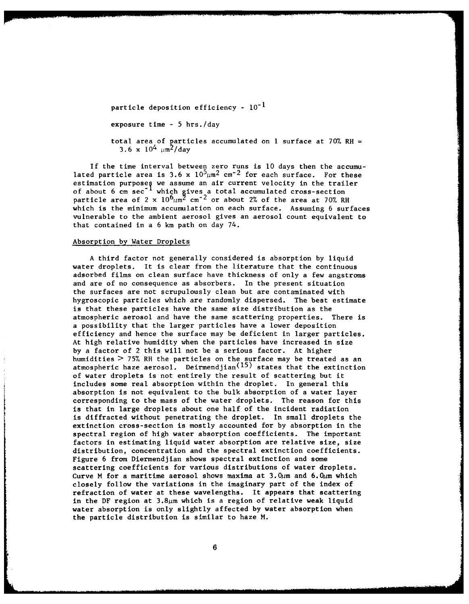particle deposition efficiency -  $10^{-1}$ 

exposure time - 5 hrs./day

total area of particles accumulated on **I** surface at 70% RH = 3.6 x  $10^4$   $\mu$ m<sup>2</sup>/day

If the time interval between zero runs is **10** days then the accumulated particle area is 3.6 x  $10^5 \mu m^2$  cm<sup>-2</sup> for each surface. For these estimation purposes we assume an air current velocity in the trailer of about 6 cm sec<sup>-1</sup> which gives a total accumulated cross-section particle area of 2 x  $10^6 \mu m^2$  cm<sup>-2</sup> or about 2% of the area at 70% RH which is the minimum accumulation on each surface. Assuming 6 surfaces vulnerable to the ambient aerosol gives an aerosol count equivalent to that contained in a 6 km path on day 74.

#### Absorption by Water Droplets

A third factor not generally considered is absorption by liquid water droplets. It is clear from the literature that the continuous adsorbed films on clean surface have thickness of only a few angstroms and are of no consequence as absorbers. In the present situation the surfaces are not scrupulously clean but are contaminated with hygroscopic particles which are randomly dispersed. The best estimate is that these particles have the same size distribution as the atmospheric aerosol and have the same scattering properties. There is a possibility that the larger particles have a lower deposition efficiency and hence the surface may be deficient in larger particles. At high relative humidity when the particles have increased in size by a factor of 2 this will not be a serious factor. At higher humidities > 75% RH the particles on the surface may be treated as an atmospheric haze aerosol. Deirmendjian $\rm ^{(15)}$  states that the extinction of water droplets is not entirely the result of scattering but it includes some real absorption within the droplet. In general this absorption is not equivalent to the bulk absorption of a water layer corresponding to the mass of the water droplets. The reason for this is that in large droplets about one half of the incident radiation is diffracted without penetrating the droplet. In small droplets the extinction cross-section is mostly accounted for by absorption in the spectral region of high water absorption coefficients. The important factors in estimating liquid water absorption are relative size, size distribution, concentration and the spectral extinction coefficients. Figure 6 from Diermendjian shows spectral extinction and some scattering coefficients for various distributions of water droplets. Curve M for a maritime aerosol shows maxima at  $3.0\mu$ m and  $6.0\mu$ m which closely follow the variations in the imaginary part of the index of refraction of water at these wavelengths. It appears that scattering in the DF region at  $3.8\mu$ m which is a region of relative weak liquid water absorption is only slightly affected by water absorption when the particle distribution is similar to haze M.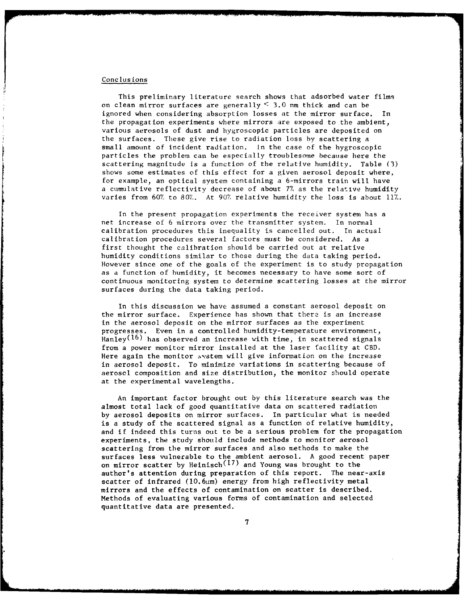#### Conclusions

This preliminary literature search shows that adsorbed water films on clean mirror surfaces are generally  $\leq$  3.0 nm thick and can be ignored when considering absorption losses at the mirror surface. In the propagation experiments where mirrors are exposed to the ambient, various aerosols of dust and hygroscopic particles are deposited on the surfaces. These give rise to radiation loss by scattering a small amount of incident radiation. In the case of the hygroscopic particles the problem can be especially troublesome because here the scattering magnitude is a function of the relative humidity. Table (3) shows some estimates of this effect for a given aerosol deposit where. for example, an optical system containing a 6-mirrors train will have a cumulative reflectivity decrease of about **77** as the relative humidity varies from **60%** to **807,.** At **907** relative humidity the loss is about 11%.

In the present propagation experiments the receiver system has a net increase of 6 mirrors over the transmitter system. In normal calibration procedures this inequality is cancelled out. In actual calibration procedures several factors must be considered. As a first thought the calibration should be carried out at relative humidity conditions similar to those during the data taking period. However since one of the goals of the experiment is to study propagation as a function of humidity, it becomes necessary to have some sort of continuous monitoring system to determine scattering losses at the mirror surfaces during the data taking period.

In this discussion we have assumed a constant aerosol deposit on the mirror surface. Experience has shown that there is an increase in the aerosol deposit on the mirror surfaces as the experiment progresses. Even in a controlled humidity-temperature environment, Hanley<sup>(16)</sup> has observed an increase with time, in scattered signals from a power monitor mirror installed at the laser facility at CBD. Here again the monitor system will give information on the increase in aerosol deposit. To minimize variations in scattering because of aerosol composition and size distribution, the monitor should operate at the experimental wavelengths.

An important factor brought out by this literature search was the almost total lack of good quantitative data on scattered radiation by aerosol deposits on mirror surfaces. In particular what is needed is a study of the scattered signal as a function of relative humidity, and if indeed this turns out to be a serious problem for the propagation experiments, the study should include methods to monitor aerosol scattering from the mirror surfaces and also methods to make the surfaces less vulnerable to the ambient aerosol. A good recent paper on mirror scatter by Heinisch $^{(17)}$  and Young was brought to the author's attention during preparation of this report. The near-axis scatter of infrared  $(10.6\mu m)$  energy from high reflectivity metal mirrors and the effects of contamination on scatter is described. Methods of evaluating various forms of contamination and selected quantitative data are presented.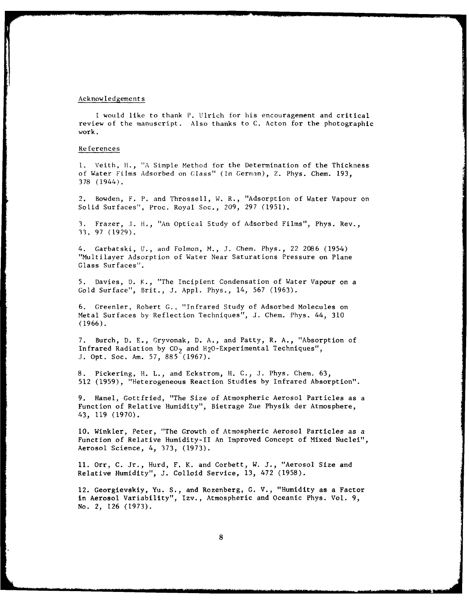#### Acknowledgements

I would like to thank P. Ulrich for his encouragement and critical review of the manuscript. Also thanks to C. Acton for the photographic work.

#### References

**1.** Veith, **It., "A%** Simple Method for the Determination of the Thickness of Water Films Adsorbed on Glass" (In German), Z. Phys. Chem. 193, 378 (1944).

2. Bowden, F. P. and Throssell, W. R., "Adsorption of Water Vapour on Solid Surfaces", Proc. Royal Soc., 209, 297 (1951).

3. Frazer, J. H., "An Optical Study of Adsorbed Films", Phys. Rev., **33,** 97 (1929).

4. Garbatski, U., and Folmon, M., J. Chem. Phys., 22 2086 (1954) "Multilayer Adsorption of Water Near Saturations Pressure on Plane Glass Surfaces".

5. Davies, D. K., "The Incipient Condensation of Water Vapour on a Gold Surface", Brit., J. Appl. Phys., 14, 567 (1963).

6. Greenler, Robert **G.,** "Infrared Study of Adsorbed Molecules on Metal Surfaces by Reflection Techniques", J. Chem. Phys. 44, 310 (1966).

7. Burch, D. E., Gryvonak, D. A., and Patty, R. **A.,** "Absorption of Infrared Radiation by  $CO<sub>2</sub>$  and H<sub>2</sub>O-Experimental Techniques", J. Opt. Soc. Am. 57, 885 (1967).

8. Pickering, H. L., and Eckstrom, H. C., J. Phys. Chem. 63, 512 (1959), "Heterogeneous Reaction Studies by Infrared Absorption".

9. Hanel, Gottfried, "The Size of Atmospheric Aerosol Particles as a Function of Relative Humidity", Bietrage Zue Physik der Atmosphere, 43, 119 (1970).

**10.** Winkler, Peter, "The Growth of Atmospheric Aerosol Particles as a Function of Relative Humidity-TI An Improved Concept of Mixed Nuclei", Aerosol Science, 4, 373, (1973).

**11.** Orr, C. Jr., Hurd, F. K. and Corbett, W. J., "Aerosol Size and Relative Humidity", J. Colloid Service, **13,** 472 (1958).

12. Georgievskiy, Yu. **S.,** and Rozenberg, G. V., "Humidity as a Factor in Aerosol Variability", Izv., Atmospheric and Oceanic Phys. Vol. 9, No. 2, 126 (1973).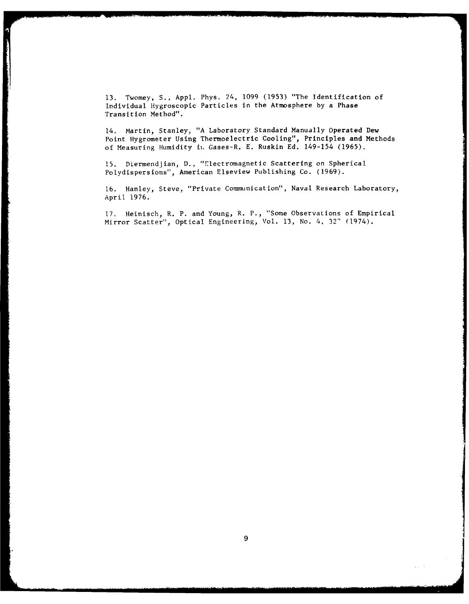**13.** Twomey, S., Appl. Phys. 24, 1099 (1953) "The Identification of Irdividual Hygroscopic Particles in the Atmosphere by a Phase Transition Method".

14. Martin, Stanley, "A Laboratory Standard Manually Operated Dew Point Hygrometer Using Thermoelectric Cooling", Principles and Methods of Measuring Humidity **ii.** Gases-R. E. Ruskin Ed. 149-154 (1965).

15. Diermendjian, **D.,** "Electromagnetic Scattering on Spherical Polydispersions", American Elseview Publishing Co. (1969).

16. Hanley, Steve, "Private Communication", Naval Research Laboratory, April 1976.

17. Heinisch, R. P. and Young, R. P., "Some Observations of Empirical Mirror Scatter", Optical Engineering, Vol. 13, No. 4, **32'** (1974).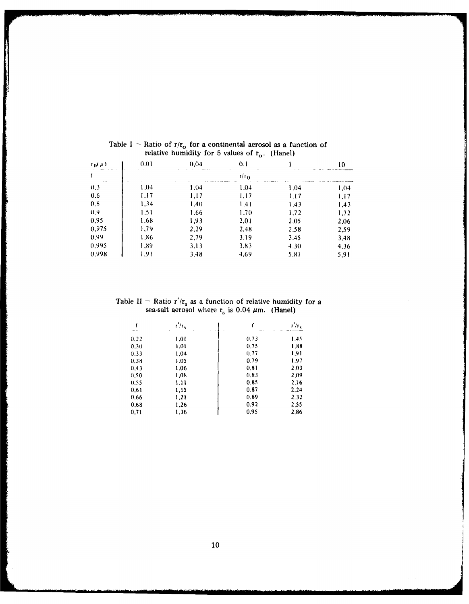| $L^0(\mathbf{h})$<br>$   -$ | 0.01 | 0.04 | 0,1<br>$\mathbf{r} \in \mathbb{R}^{n \times n}$ |      | 10   |
|-----------------------------|------|------|-------------------------------------------------|------|------|
|                             |      |      | $r/r_0$                                         |      |      |
| (0,3)                       | 1.04 | 1,04 | 1.04                                            | 1,04 | 1,04 |
| 0,6                         | 1.17 | 1,17 | 1.17                                            | 1.17 | 1.17 |
| 0.8                         | 1.34 | 1,40 | 1.41                                            | 1.43 | 1,43 |
| 0,9                         | 1,51 | 1.66 | 1.70                                            | 1,72 | 1,72 |
| 0,95                        | 1.68 | 1,93 | 2,01                                            | 2.05 | 2,06 |
| 0,975                       | 1,79 | 2.29 | 2,48                                            | 2,58 | 2,59 |
| 0.99                        | 1,86 | 2,79 | 3.19                                            | 3.45 | 3,48 |
| 0.995                       | 1.89 | 3,13 | 3.83                                            | 4.30 | 4,36 |
| 0.998                       | 1.91 | 3.48 | 4.69                                            | 5,81 | 5.91 |

- 「「このことをいく、「このこと」ということです。 このは、「このことで、「あって、このこと」ということです。 このことは、「このこと」ということに、「このこと」ということです。 こうこく なんこう しょうかん こうしょう しょうかん

Table I – Ratio of r/ $r_0$  for a continental aerosol as a function of relative humidity for 5 values of  $r_{o}$ . (Hanel

Table *II* **-** Ratio r'/r, as a function of relative humidity for a sea-salt aerosol where  $r_s$  is 0.04  $\mu$ m. (Hanel

| f    | $t'/t_s$<br>٠ |      | $r/r_c$ |
|------|---------------|------|---------|
| 0.22 | 1,01          | 0,73 | 1.45    |
| 0.30 | 1,01          | 0.75 | 1,88    |
| 0.33 | 1,04          | 0.77 | 1,91    |
| 0.38 | 1,05          | 0.79 | 1,97    |
| 0,43 | 1.06          | 0.81 | 2.03    |
| 0,50 | 1,08          | 0.83 | 2,09    |
| 0.55 | 1,11          | 0.85 | 2,16    |
| 0,61 | 1,15          | 0.87 | 2,24    |
| 0.66 | 1,21          | 0.89 | 2.32    |
| 0.68 | 1,26          | 0,92 | 2,55    |
| 0,71 | 1,36          | 0,95 | 2,86    |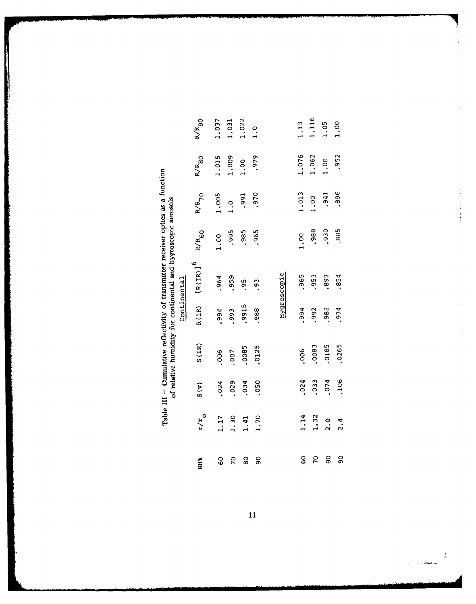| of relative numidity for continental and triveropric actions | <br> <br> <br> <br> <br>Continental |
|--------------------------------------------------------------|-------------------------------------|
|                                                              |                                     |

| en<br>El       | $z/\tilde{z}$                        | S(v)                                 | S(TR)                                   | R(IR)                                            | $R(IR)$ ] <sup>6</sup>              | $R/R$ <sub>60</sub>                  | 64/8                                                 | $R/R$ 80                               | $R/R_{90}$                             |
|----------------|--------------------------------------|--------------------------------------|-----------------------------------------|--------------------------------------------------|-------------------------------------|--------------------------------------|------------------------------------------------------|----------------------------------------|----------------------------------------|
| င့်<br>စ       |                                      |                                      |                                         |                                                  |                                     |                                      |                                                      |                                        |                                        |
| $\mathcal{L}$  |                                      |                                      |                                         |                                                  |                                     |                                      |                                                      |                                        |                                        |
| $\frac{0}{8}$  | $1.17$<br>$1.30$<br>$1.41$<br>$1.70$ | $.024$<br>$.029$<br>$.034$<br>$.050$ | $.006$<br>$.007$<br>$.0085$<br>$.0125$  | $.994$<br>$.993$<br>$.9915$<br>$.9915$<br>$.988$ | $.964$<br>$.959$<br>$.959$<br>$.93$ | $1.00$<br>$.995$<br>$.985$<br>$.965$ | $1.005$<br>$1.0$<br>$.991$<br>$.970$                 | $1.015$<br>$1.009$<br>$1.00$<br>$.979$ | $1.037$<br>$1.031$<br>$1.022$<br>$1.0$ |
| $\overline{9}$ |                                      |                                      |                                         |                                                  |                                     |                                      |                                                      |                                        |                                        |
|                |                                      |                                      |                                         |                                                  |                                     |                                      |                                                      |                                        |                                        |
|                |                                      |                                      |                                         |                                                  | Hygroscopic                         |                                      |                                                      |                                        |                                        |
| ငွ             |                                      |                                      |                                         |                                                  |                                     |                                      |                                                      |                                        |                                        |
| $\mathcal{L}$  | $1.32$<br>$1.32$<br>$2.4$<br>$2.4$   | $.024$<br>$.033$<br>$.074$<br>$.106$ | $.006$<br>$.0083$<br>$.0185$<br>$.0265$ | $.994$<br>$.992$<br>$.982$<br>$.974$             | 965<br>053<br>0954<br>0954          | $1.00$<br>$.988$<br>$.930$<br>$.885$ | $\begin{array}{c} 1.013 \\ 1.00 \\ .941 \end{array}$ | $1.076$<br>$1.062$<br>$1.00$<br>$.952$ | $1.13$<br>$1.116$<br>$1.05$<br>$1.00$  |
| ္ထ             |                                      |                                      |                                         |                                                  |                                     |                                      |                                                      |                                        |                                        |
| 90             |                                      |                                      |                                         |                                                  |                                     |                                      |                                                      |                                        |                                        |

医中国的复数形式

 $\frac{1}{2}$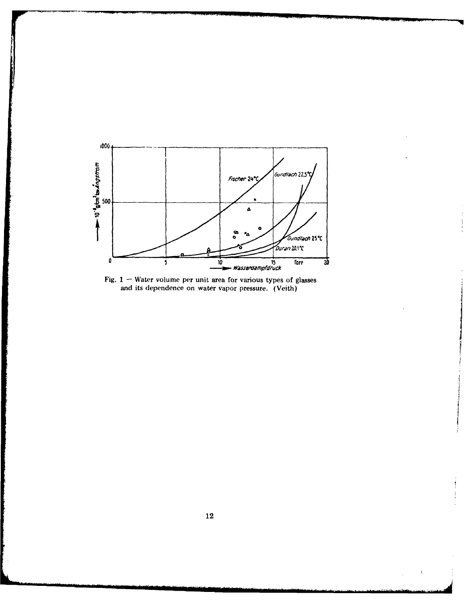



*Company of the Company of the Company's* 

and the property of the company of the company of the company of the company of the company of the company of

 $\ddot{\phantom{1}}$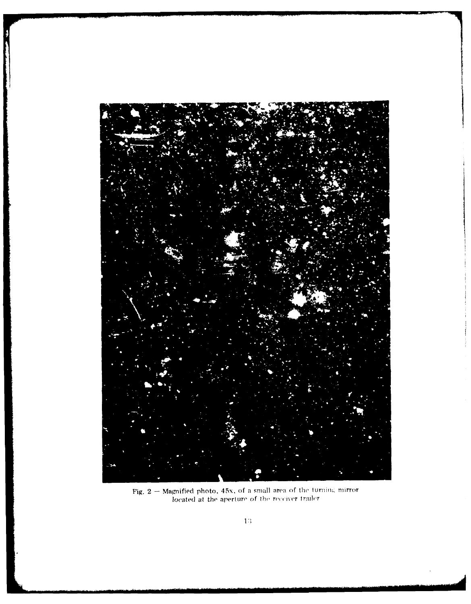

Fig.  $2$  – Magnified photo, 45x, of a small area of the turning mirror<br>located at the aperture of the receiver trailer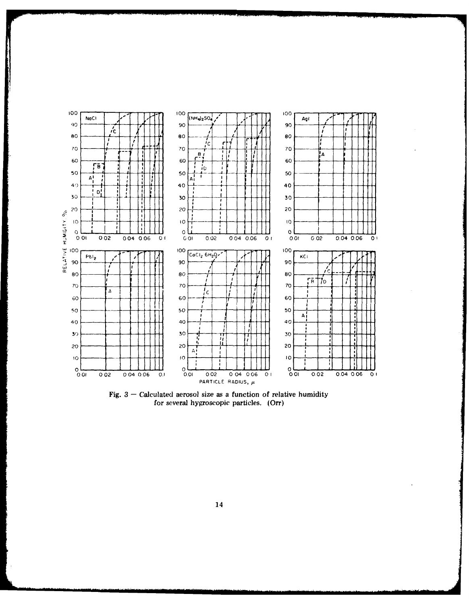

Fig. – Calculated aerosol size as a function of relative humidity for several hygroscopic particles. (Orr)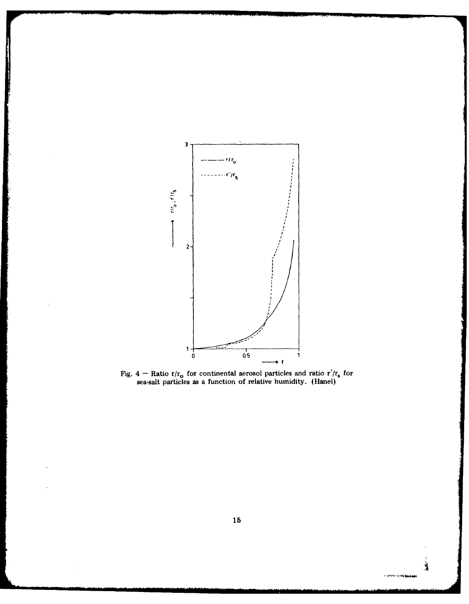

the first company of the company of





大学 (人)

። ወደት የአ<mark>ንዳቸው</mark>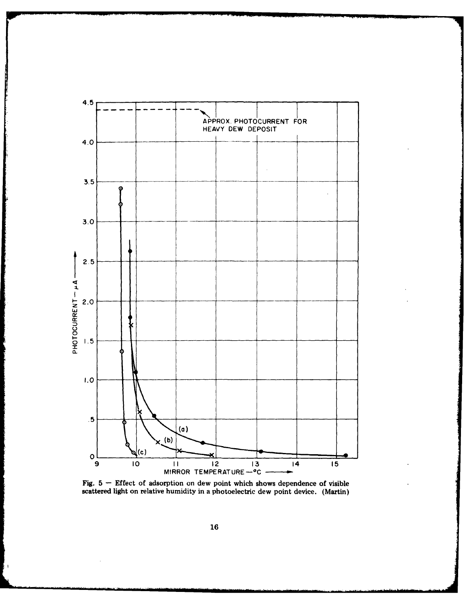

Fig. 5 - Effect of adsorption on dew point which shows dependence of visible scattered light on relative humidity in a photoelectric dew point device. (Martin)

 $\mathbf{I}$